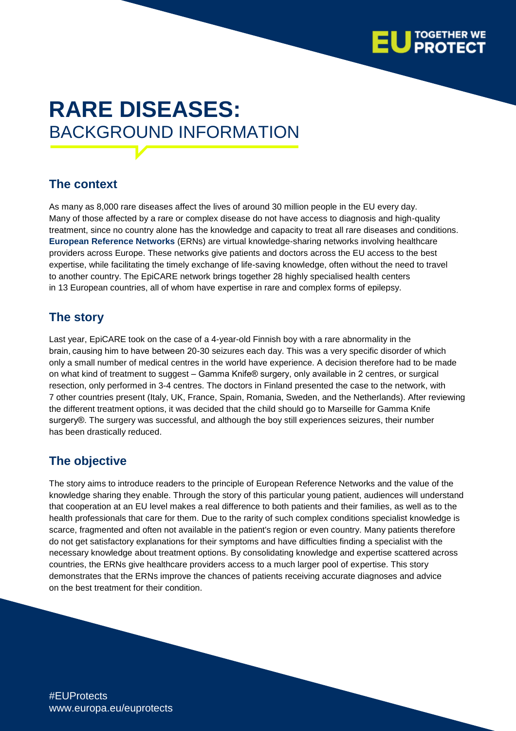

# **RARE DISEASES:** BACKGROUND INFORMATION

#### **The context**

As many as 8,000 rare diseases affect the lives of around 30 million people in the EU every day. Many of those affected by a rare or complex disease do not have access to diagnosis and high-quality treatment, since no country alone has the knowledge and capacity to treat all rare diseases and conditions. **European Reference Networks** (ERNs) are virtual knowledge-sharing networks involving healthcare providers across Europe. These networks give patients and doctors across the EU access to the best expertise, while facilitating the timely exchange of life-saving knowledge, often without the need to travel to another country. The EpiCARE network brings together 28 highly specialised health centers in 13 European countries, all of whom have expertise in rare and complex forms of epilepsy.

### **The story**

Last year, EpiCARE took on the case of a 4-year-old Finnish boy with a rare abnormality in the brain, causing him to have between 20-30 seizures each day. This was a very specific disorder of which only a small number of medical centres in the world have experience. A decision therefore had to be made on what kind of treatment to suggest – Gamma Knife® surgery, only available in 2 centres, or surgical resection, only performed in 3-4 centres. The doctors in Finland presented the case to the network, with 7 other countries present (Italy, UK, France, Spain, Romania, Sweden, and the Netherlands). After reviewing the different treatment options, it was decided that the child should go to Marseille for Gamma Knife surgery®. The surgery was successful, and although the boy still experiences seizures, their number has been drastically reduced.

## **The objective**

The story aims to introduce readers to the principle of European Reference Networks and the value of the knowledge sharing they enable. Through the story of this particular young patient, audiences will understand that cooperation at an EU level makes a real difference to both patients and their families, as well as to the health professionals that care for them. Due to the rarity of such complex conditions specialist knowledge is scarce, fragmented and often not available in the patient's region or even country. Many patients therefore do not get satisfactory explanations for their symptoms and have difficulties finding a specialist with the necessary knowledge about treatment options. By consolidating knowledge and expertise scattered across countries, the ERNs give healthcare providers access to a much larger pool of expertise. This story demonstrates that the ERNs improve the chances of patients receiving accurate diagnoses and advice on the best treatment for their condition.